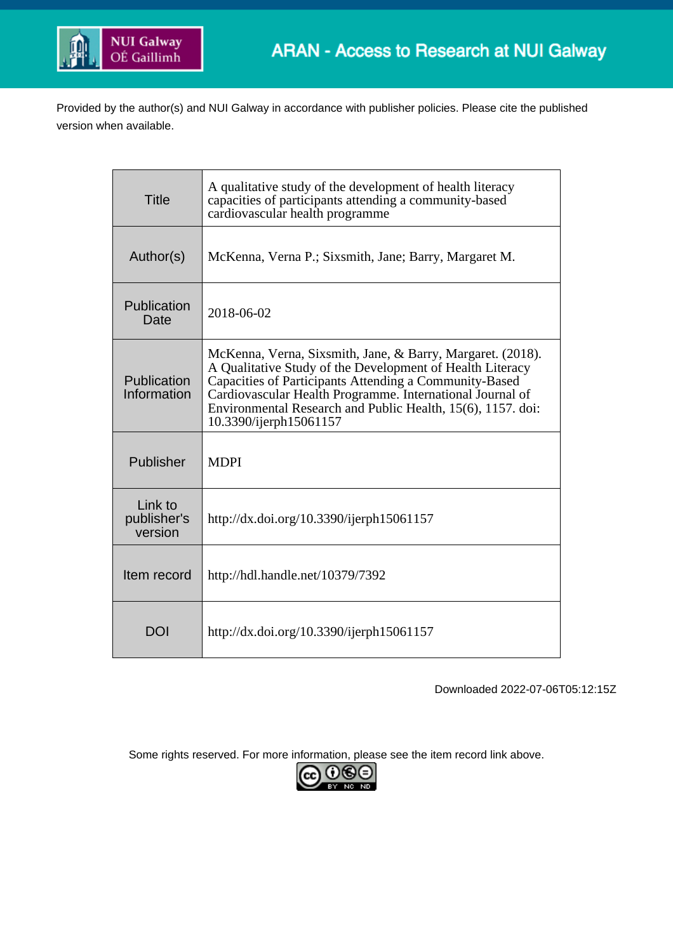

Provided by the author(s) and NUI Galway in accordance with publisher policies. Please cite the published version when available.

| <b>Title</b>                      | A qualitative study of the development of health literacy<br>capacities of participants attending a community-based<br>cardiovascular health programme                                                                                                                                                                                  |  |  |
|-----------------------------------|-----------------------------------------------------------------------------------------------------------------------------------------------------------------------------------------------------------------------------------------------------------------------------------------------------------------------------------------|--|--|
| Author(s)                         | McKenna, Verna P.; Sixsmith, Jane; Barry, Margaret M.                                                                                                                                                                                                                                                                                   |  |  |
| Publication<br>Date               | 2018-06-02                                                                                                                                                                                                                                                                                                                              |  |  |
| Publication<br>Information        | McKenna, Verna, Sixsmith, Jane, & Barry, Margaret. (2018).<br>A Qualitative Study of the Development of Health Literacy<br>Capacities of Participants Attending a Community-Based<br>Cardiovascular Health Programme. International Journal of<br>Environmental Research and Public Health, 15(6), 1157. doi:<br>10.3390/ijerph15061157 |  |  |
| Publisher                         | <b>MDPI</b>                                                                                                                                                                                                                                                                                                                             |  |  |
| Link to<br>publisher's<br>version | http://dx.doi.org/10.3390/ijerph15061157                                                                                                                                                                                                                                                                                                |  |  |
| Item record                       | http://hdl.handle.net/10379/7392                                                                                                                                                                                                                                                                                                        |  |  |
| DOI                               | http://dx.doi.org/10.3390/ijerph15061157                                                                                                                                                                                                                                                                                                |  |  |

Downloaded 2022-07-06T05:12:15Z

Some rights reserved. For more information, please see the item record link above.

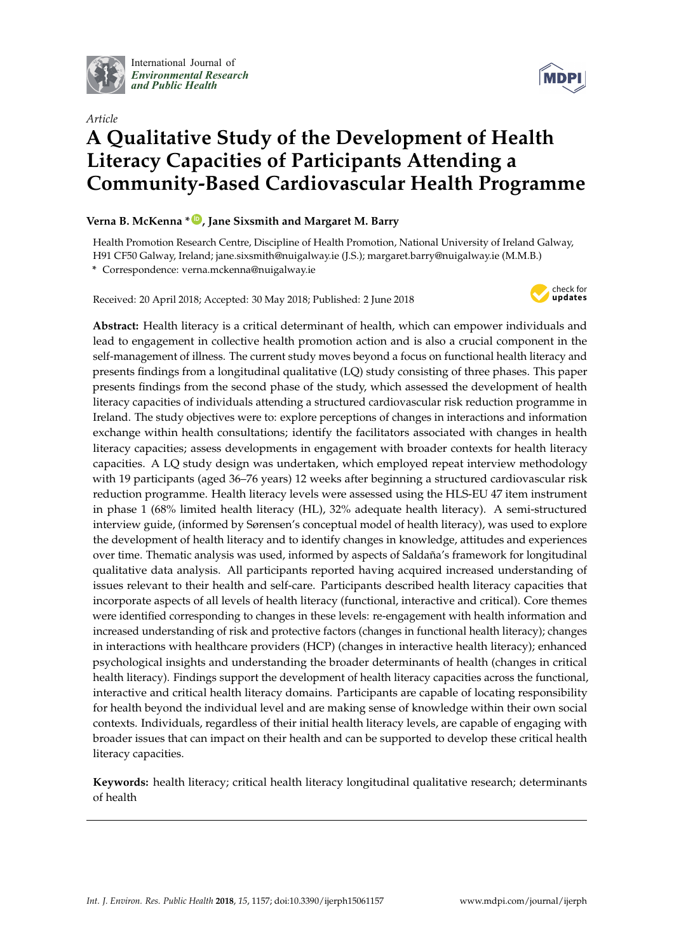

International Journal of *[Environmental Research](http://www.mdpi.com/journal/ijerph) and Public Health*



# *Article* **A Qualitative Study of the Development of Health Literacy Capacities of Participants Attending a Community-Based Cardiovascular Health Programme**

# **Verna B. McKenna \* [ID](https://orcid.org/0000-0002-3402-3871) , Jane Sixsmith and Margaret M. Barry**

Health Promotion Research Centre, Discipline of Health Promotion, National University of Ireland Galway, H91 CF50 Galway, Ireland; jane.sixsmith@nuigalway.ie (J.S.); margaret.barry@nuigalway.ie (M.M.B.) **\*** Correspondence: verna.mckenna@nuigalway.ie

Received: 20 April 2018; Accepted: 30 May 2018; Published: 2 June 2018



**Abstract:** Health literacy is a critical determinant of health, which can empower individuals and lead to engagement in collective health promotion action and is also a crucial component in the self-management of illness. The current study moves beyond a focus on functional health literacy and presents findings from a longitudinal qualitative (LQ) study consisting of three phases. This paper presents findings from the second phase of the study, which assessed the development of health literacy capacities of individuals attending a structured cardiovascular risk reduction programme in Ireland. The study objectives were to: explore perceptions of changes in interactions and information exchange within health consultations; identify the facilitators associated with changes in health literacy capacities; assess developments in engagement with broader contexts for health literacy capacities. A LQ study design was undertaken, which employed repeat interview methodology with 19 participants (aged 36–76 years) 12 weeks after beginning a structured cardiovascular risk reduction programme. Health literacy levels were assessed using the HLS-EU 47 item instrument in phase 1 (68% limited health literacy (HL), 32% adequate health literacy). A semi-structured interview guide, (informed by Sørensen's conceptual model of health literacy), was used to explore the development of health literacy and to identify changes in knowledge, attitudes and experiences over time. Thematic analysis was used, informed by aspects of Saldaña's framework for longitudinal qualitative data analysis. All participants reported having acquired increased understanding of issues relevant to their health and self-care. Participants described health literacy capacities that incorporate aspects of all levels of health literacy (functional, interactive and critical). Core themes were identified corresponding to changes in these levels: re-engagement with health information and increased understanding of risk and protective factors (changes in functional health literacy); changes in interactions with healthcare providers (HCP) (changes in interactive health literacy); enhanced psychological insights and understanding the broader determinants of health (changes in critical health literacy). Findings support the development of health literacy capacities across the functional, interactive and critical health literacy domains. Participants are capable of locating responsibility for health beyond the individual level and are making sense of knowledge within their own social contexts. Individuals, regardless of their initial health literacy levels, are capable of engaging with broader issues that can impact on their health and can be supported to develop these critical health literacy capacities.

**Keywords:** health literacy; critical health literacy longitudinal qualitative research; determinants of health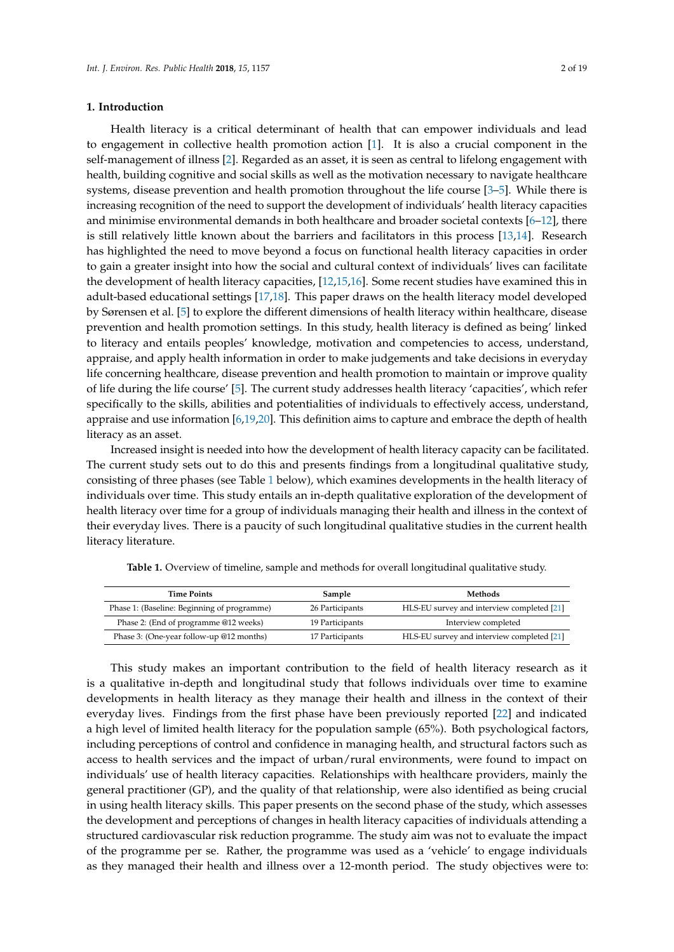## **1. Introduction**

Health literacy is a critical determinant of health that can empower individuals and lead to engagement in collective health promotion action [\[1\]](#page-17-0). It is also a crucial component in the self-management of illness [\[2\]](#page-17-1). Regarded as an asset, it is seen as central to lifelong engagement with health, building cognitive and social skills as well as the motivation necessary to navigate healthcare systems, disease prevention and health promotion throughout the life course [\[3–](#page-17-2)[5\]](#page-17-3). While there is increasing recognition of the need to support the development of individuals' health literacy capacities and minimise environmental demands in both healthcare and broader societal contexts [\[6–](#page-17-4)[12\]](#page-17-5), there is still relatively little known about the barriers and facilitators in this process [\[13,](#page-17-6)[14\]](#page-17-7). Research has highlighted the need to move beyond a focus on functional health literacy capacities in order to gain a greater insight into how the social and cultural context of individuals' lives can facilitate the development of health literacy capacities, [\[12,](#page-17-5)[15,](#page-17-8)[16\]](#page-18-0). Some recent studies have examined this in adult-based educational settings [\[17](#page-18-1)[,18\]](#page-18-2). This paper draws on the health literacy model developed by Sørensen et al. [\[5\]](#page-17-3) to explore the different dimensions of health literacy within healthcare, disease prevention and health promotion settings. In this study, health literacy is defined as being' linked to literacy and entails peoples' knowledge, motivation and competencies to access, understand, appraise, and apply health information in order to make judgements and take decisions in everyday life concerning healthcare, disease prevention and health promotion to maintain or improve quality of life during the life course' [\[5\]](#page-17-3). The current study addresses health literacy 'capacities', which refer specifically to the skills, abilities and potentialities of individuals to effectively access, understand, appraise and use information [\[6](#page-17-4)[,19](#page-18-3)[,20\]](#page-18-4). This definition aims to capture and embrace the depth of health literacy as an asset.

Increased insight is needed into how the development of health literacy capacity can be facilitated. The current study sets out to do this and presents findings from a longitudinal qualitative study, consisting of three phases (see Table [1](#page-2-0) below), which examines developments in the health literacy of individuals over time. This study entails an in-depth qualitative exploration of the development of health literacy over time for a group of individuals managing their health and illness in the context of their everyday lives. There is a paucity of such longitudinal qualitative studies in the current health literacy literature.

<span id="page-2-0"></span>

| <b>Time Points</b>                          | Sample          | Methods                                    |  |
|---------------------------------------------|-----------------|--------------------------------------------|--|
| Phase 1: (Baseline: Beginning of programme) | 26 Participants | HLS-EU survey and interview completed [21] |  |
| Phase 2: (End of programme @12 weeks)       | 19 Participants | Interview completed                        |  |
| Phase 3: (One-year follow-up @12 months)    | 17 Participants | HLS-EU survey and interview completed [21] |  |

**Table 1.** Overview of timeline, sample and methods for overall longitudinal qualitative study.

This study makes an important contribution to the field of health literacy research as it is a qualitative in-depth and longitudinal study that follows individuals over time to examine developments in health literacy as they manage their health and illness in the context of their everyday lives. Findings from the first phase have been previously reported [\[22\]](#page-18-6) and indicated a high level of limited health literacy for the population sample (65%). Both psychological factors, including perceptions of control and confidence in managing health, and structural factors such as access to health services and the impact of urban/rural environments, were found to impact on individuals' use of health literacy capacities. Relationships with healthcare providers, mainly the general practitioner (GP), and the quality of that relationship, were also identified as being crucial in using health literacy skills. This paper presents on the second phase of the study, which assesses the development and perceptions of changes in health literacy capacities of individuals attending a structured cardiovascular risk reduction programme. The study aim was not to evaluate the impact of the programme per se. Rather, the programme was used as a 'vehicle' to engage individuals as they managed their health and illness over a 12-month period. The study objectives were to: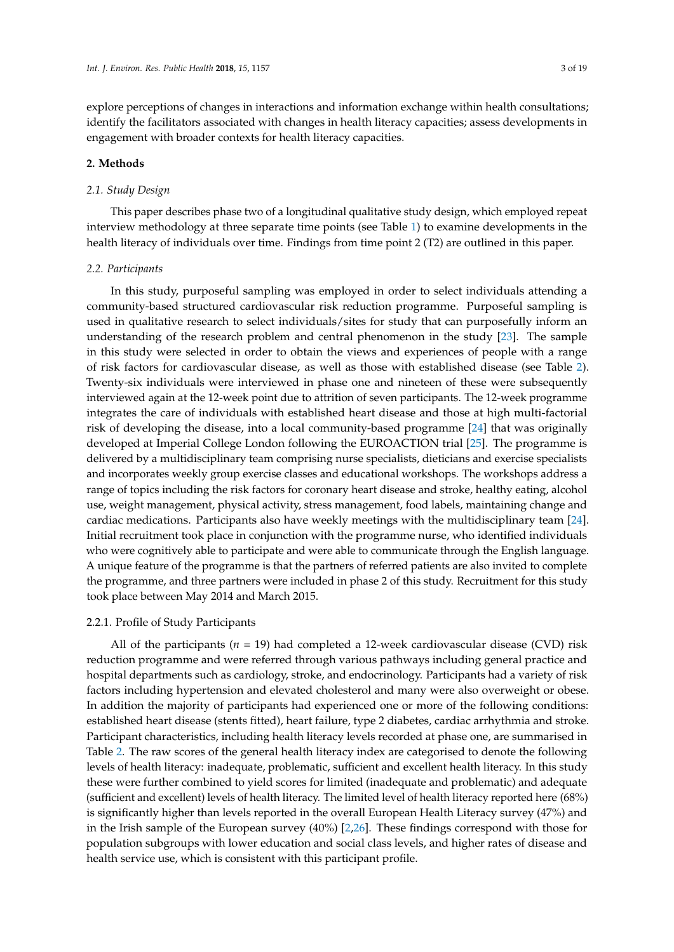explore perceptions of changes in interactions and information exchange within health consultations; identify the facilitators associated with changes in health literacy capacities; assess developments in engagement with broader contexts for health literacy capacities.

#### **2. Methods**

# *2.1. Study Design*

This paper describes phase two of a longitudinal qualitative study design, which employed repeat interview methodology at three separate time points (see Table [1\)](#page-2-0) to examine developments in the health literacy of individuals over time. Findings from time point 2 (T2) are outlined in this paper.

#### *2.2. Participants*

In this study, purposeful sampling was employed in order to select individuals attending a community-based structured cardiovascular risk reduction programme. Purposeful sampling is used in qualitative research to select individuals/sites for study that can purposefully inform an understanding of the research problem and central phenomenon in the study [\[23\]](#page-18-7). The sample in this study were selected in order to obtain the views and experiences of people with a range of risk factors for cardiovascular disease, as well as those with established disease (see Table [2\)](#page-4-0). Twenty-six individuals were interviewed in phase one and nineteen of these were subsequently interviewed again at the 12-week point due to attrition of seven participants. The 12-week programme integrates the care of individuals with established heart disease and those at high multi-factorial risk of developing the disease, into a local community-based programme [\[24\]](#page-18-8) that was originally developed at Imperial College London following the EUROACTION trial [\[25\]](#page-18-9). The programme is delivered by a multidisciplinary team comprising nurse specialists, dieticians and exercise specialists and incorporates weekly group exercise classes and educational workshops. The workshops address a range of topics including the risk factors for coronary heart disease and stroke, healthy eating, alcohol use, weight management, physical activity, stress management, food labels, maintaining change and cardiac medications. Participants also have weekly meetings with the multidisciplinary team [\[24\]](#page-18-8). Initial recruitment took place in conjunction with the programme nurse, who identified individuals who were cognitively able to participate and were able to communicate through the English language. A unique feature of the programme is that the partners of referred patients are also invited to complete the programme, and three partners were included in phase 2 of this study. Recruitment for this study took place between May 2014 and March 2015.

## 2.2.1. Profile of Study Participants

All of the participants (*n* = 19) had completed a 12-week cardiovascular disease (CVD) risk reduction programme and were referred through various pathways including general practice and hospital departments such as cardiology, stroke, and endocrinology. Participants had a variety of risk factors including hypertension and elevated cholesterol and many were also overweight or obese. In addition the majority of participants had experienced one or more of the following conditions: established heart disease (stents fitted), heart failure, type 2 diabetes, cardiac arrhythmia and stroke. Participant characteristics, including health literacy levels recorded at phase one, are summarised in Table [2.](#page-4-0) The raw scores of the general health literacy index are categorised to denote the following levels of health literacy: inadequate, problematic, sufficient and excellent health literacy. In this study these were further combined to yield scores for limited (inadequate and problematic) and adequate (sufficient and excellent) levels of health literacy. The limited level of health literacy reported here (68%) is significantly higher than levels reported in the overall European Health Literacy survey (47%) and in the Irish sample of the European survey (40%) [\[2](#page-17-1)[,26\]](#page-18-10). These findings correspond with those for population subgroups with lower education and social class levels, and higher rates of disease and health service use, which is consistent with this participant profile.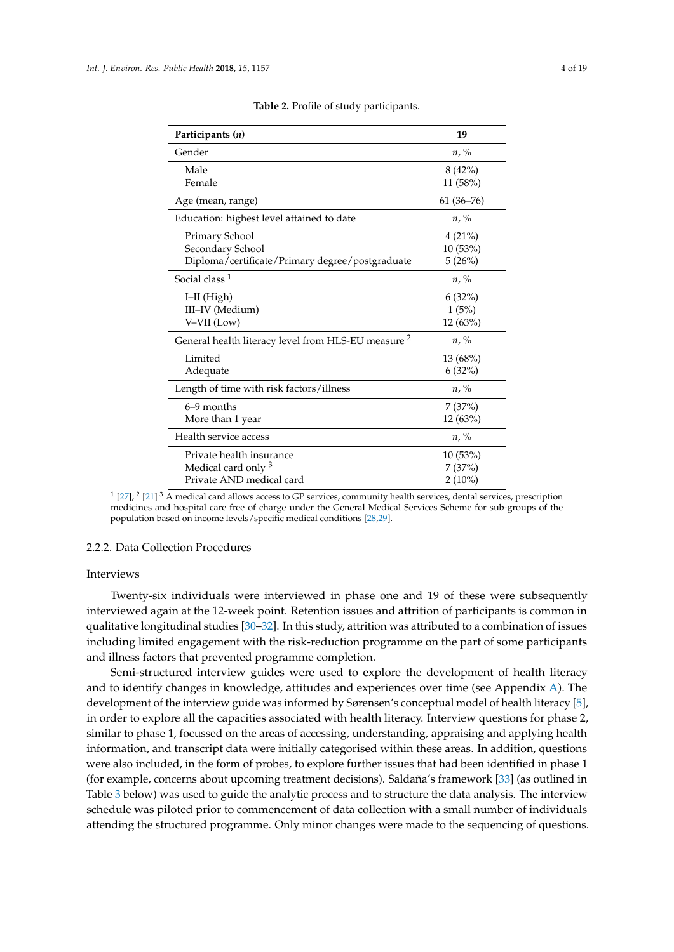<span id="page-4-0"></span>

| Participants (n)                                               | 19            |
|----------------------------------------------------------------|---------------|
| Gender                                                         | $n, \%$       |
| Male                                                           | 8(42%)        |
| Female                                                         | 11 (58%)      |
| Age (mean, range)                                              | $61(36 - 76)$ |
| Education: highest level attained to date                      | $n, \%$       |
| Primary School                                                 | 4(21%)        |
| Secondary School                                               | 10(53%)       |
| Diploma/certificate/Primary degree/postgraduate                | 5(26%)        |
| Social class $1$                                               | $n, \%$       |
| $I-II$ (High)                                                  | $6(32\%)$     |
| III-IV (Medium)                                                | 1(5%)         |
| V-VII (Low)                                                    | 12 (63%)      |
| General health literacy level from HLS-EU measure <sup>2</sup> | $n, \%$       |
| Limited                                                        | 13(68%)       |
| Adequate                                                       | $6(32\%)$     |
| Length of time with risk factors/illness                       | $n, \%$       |
| $6-9$ months                                                   | 7(37%)        |
| More than 1 year                                               | 12(63%)       |
| Health service access                                          | $n, \%$       |
| Private health insurance                                       | 10(53%)       |
| Medical card only 3                                            | 7(37%)        |
| Private AND medical card                                       | $2(10\%)$     |

**Table 2.** Profile of study participants.

 $1$  [\[27\]](#page-18-11);  $2$  [\[21\]](#page-18-5)  $3$  A medical card allows access to GP services, community health services, dental services, prescription medicines and hospital care free of charge under the General Medical Services Scheme for sub-groups of the population based on income levels/specific medical conditions [\[28](#page-18-12)[,29\]](#page-18-13).

#### 2.2.2. Data Collection Procedures

#### Interviews

Twenty-six individuals were interviewed in phase one and 19 of these were subsequently interviewed again at the 12-week point. Retention issues and attrition of participants is common in qualitative longitudinal studies [\[30](#page-18-14)[–32\]](#page-18-15). In this study, attrition was attributed to a combination of issues including limited engagement with the risk-reduction programme on the part of some participants and illness factors that prevented programme completion.

Semi-structured interview guides were used to explore the development of health literacy and to identify changes in knowledge, attitudes and experiences over time (see Appendix [A\)](#page-17-9). The development of the interview guide was informed by Sørensen's conceptual model of health literacy [\[5\]](#page-17-3), in order to explore all the capacities associated with health literacy. Interview questions for phase 2, similar to phase 1, focussed on the areas of accessing, understanding, appraising and applying health information, and transcript data were initially categorised within these areas. In addition, questions were also included, in the form of probes, to explore further issues that had been identified in phase 1 (for example, concerns about upcoming treatment decisions). Saldaña's framework [\[33\]](#page-18-16) (as outlined in Table [3](#page-5-0) below) was used to guide the analytic process and to structure the data analysis. The interview schedule was piloted prior to commencement of data collection with a small number of individuals attending the structured programme. Only minor changes were made to the sequencing of questions.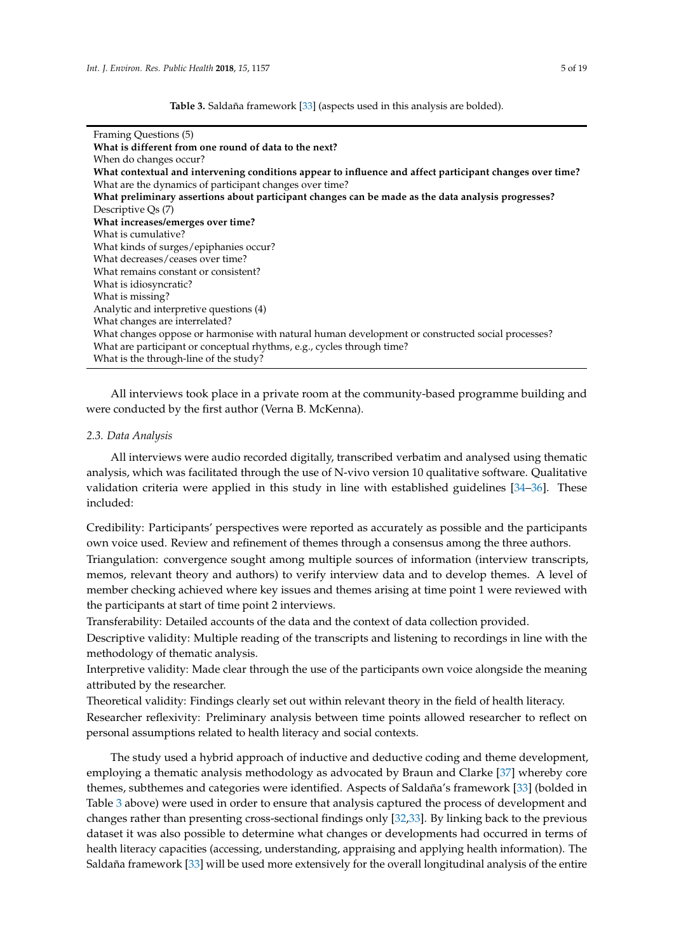**Table 3.** Saldaña framework [\[33\]](#page-18-16) (aspects used in this analysis are bolded).

<span id="page-5-0"></span>

| Framing Questions (5)                                                                                    |  |  |  |  |
|----------------------------------------------------------------------------------------------------------|--|--|--|--|
| What is different from one round of data to the next?                                                    |  |  |  |  |
| When do changes occur?                                                                                   |  |  |  |  |
| What contextual and intervening conditions appear to influence and affect participant changes over time? |  |  |  |  |
| What are the dynamics of participant changes over time?                                                  |  |  |  |  |
| What preliminary assertions about participant changes can be made as the data analysis progresses?       |  |  |  |  |
| Descriptive $Qs(7)$                                                                                      |  |  |  |  |
| What increases/emerges over time?                                                                        |  |  |  |  |
| What is cumulative?                                                                                      |  |  |  |  |
| What kinds of surges/epiphanies occur?                                                                   |  |  |  |  |
| What decreases/ceases over time?                                                                         |  |  |  |  |
| What remains constant or consistent?                                                                     |  |  |  |  |
| What is idiosyncratic?                                                                                   |  |  |  |  |
| What is missing?                                                                                         |  |  |  |  |
| Analytic and interpretive questions (4)                                                                  |  |  |  |  |
| What changes are interrelated?                                                                           |  |  |  |  |
| What changes oppose or harmonise with natural human development or constructed social processes?         |  |  |  |  |
| What are participant or conceptual rhythms, e.g., cycles through time?                                   |  |  |  |  |
| What is the through-line of the study?                                                                   |  |  |  |  |

All interviews took place in a private room at the community-based programme building and were conducted by the first author (Verna B. McKenna).

# *2.3. Data Analysis*

All interviews were audio recorded digitally, transcribed verbatim and analysed using thematic analysis, which was facilitated through the use of N-vivo version 10 qualitative software. Qualitative validation criteria were applied in this study in line with established guidelines [\[34](#page-18-17)[–36\]](#page-18-18). These included:

Credibility: Participants' perspectives were reported as accurately as possible and the participants own voice used. Review and refinement of themes through a consensus among the three authors.

Triangulation: convergence sought among multiple sources of information (interview transcripts, memos, relevant theory and authors) to verify interview data and to develop themes. A level of member checking achieved where key issues and themes arising at time point 1 were reviewed with the participants at start of time point 2 interviews.

Transferability: Detailed accounts of the data and the context of data collection provided.

Descriptive validity: Multiple reading of the transcripts and listening to recordings in line with the methodology of thematic analysis.

Interpretive validity: Made clear through the use of the participants own voice alongside the meaning attributed by the researcher.

Theoretical validity: Findings clearly set out within relevant theory in the field of health literacy. Researcher reflexivity: Preliminary analysis between time points allowed researcher to reflect on personal assumptions related to health literacy and social contexts.

The study used a hybrid approach of inductive and deductive coding and theme development, employing a thematic analysis methodology as advocated by Braun and Clarke [\[37\]](#page-18-19) whereby core themes, subthemes and categories were identified. Aspects of Saldaña's framework [\[33\]](#page-18-16) (bolded in Table [3](#page-5-0) above) were used in order to ensure that analysis captured the process of development and changes rather than presenting cross-sectional findings only [\[32](#page-18-15)[,33\]](#page-18-16). By linking back to the previous dataset it was also possible to determine what changes or developments had occurred in terms of health literacy capacities (accessing, understanding, appraising and applying health information). The Saldaña framework [\[33\]](#page-18-16) will be used more extensively for the overall longitudinal analysis of the entire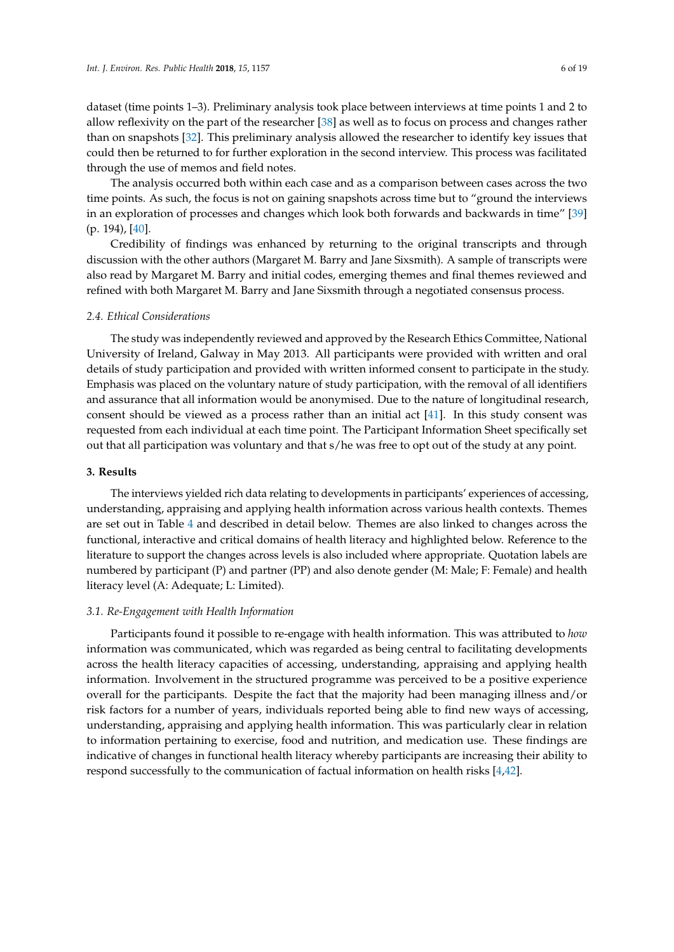dataset (time points 1–3). Preliminary analysis took place between interviews at time points 1 and 2 to allow reflexivity on the part of the researcher [\[38\]](#page-18-20) as well as to focus on process and changes rather than on snapshots [\[32\]](#page-18-15). This preliminary analysis allowed the researcher to identify key issues that could then be returned to for further exploration in the second interview. This process was facilitated through the use of memos and field notes.

The analysis occurred both within each case and as a comparison between cases across the two time points. As such, the focus is not on gaining snapshots across time but to "ground the interviews in an exploration of processes and changes which look both forwards and backwards in time" [\[39\]](#page-18-21) (p. 194), [\[40\]](#page-19-0).

Credibility of findings was enhanced by returning to the original transcripts and through discussion with the other authors (Margaret M. Barry and Jane Sixsmith). A sample of transcripts were also read by Margaret M. Barry and initial codes, emerging themes and final themes reviewed and refined with both Margaret M. Barry and Jane Sixsmith through a negotiated consensus process.

#### *2.4. Ethical Considerations*

The study was independently reviewed and approved by the Research Ethics Committee, National University of Ireland, Galway in May 2013. All participants were provided with written and oral details of study participation and provided with written informed consent to participate in the study. Emphasis was placed on the voluntary nature of study participation, with the removal of all identifiers and assurance that all information would be anonymised. Due to the nature of longitudinal research, consent should be viewed as a process rather than an initial act [\[41\]](#page-19-1). In this study consent was requested from each individual at each time point. The Participant Information Sheet specifically set out that all participation was voluntary and that s/he was free to opt out of the study at any point.

#### **3. Results**

The interviews yielded rich data relating to developments in participants' experiences of accessing, understanding, appraising and applying health information across various health contexts. Themes are set out in Table [4](#page-7-0) and described in detail below. Themes are also linked to changes across the functional, interactive and critical domains of health literacy and highlighted below. Reference to the literature to support the changes across levels is also included where appropriate. Quotation labels are numbered by participant (P) and partner (PP) and also denote gender (M: Male; F: Female) and health literacy level (A: Adequate; L: Limited).

## *3.1. Re-Engagement with Health Information*

Participants found it possible to re-engage with health information. This was attributed to *how* information was communicated, which was regarded as being central to facilitating developments across the health literacy capacities of accessing, understanding, appraising and applying health information. Involvement in the structured programme was perceived to be a positive experience overall for the participants. Despite the fact that the majority had been managing illness and/or risk factors for a number of years, individuals reported being able to find new ways of accessing, understanding, appraising and applying health information. This was particularly clear in relation to information pertaining to exercise, food and nutrition, and medication use. These findings are indicative of changes in functional health literacy whereby participants are increasing their ability to respond successfully to the communication of factual information on health risks [\[4](#page-17-10)[,42\]](#page-19-2).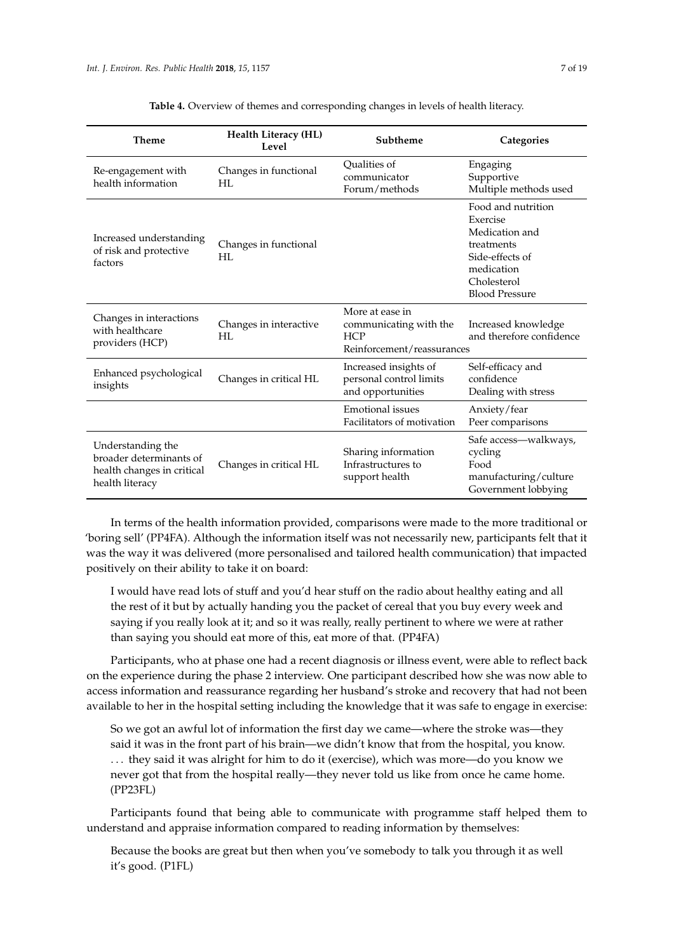<span id="page-7-0"></span>

| <b>Theme</b>                                                                                  | <b>Health Literacy (HL)</b><br>Level | Subtheme                                                                              | Categories                                                                                                                              |
|-----------------------------------------------------------------------------------------------|--------------------------------------|---------------------------------------------------------------------------------------|-----------------------------------------------------------------------------------------------------------------------------------------|
| Re-engagement with<br>health information                                                      | Changes in functional<br>HI.         | Qualities of<br>communicator<br>Forum/methods                                         | Engaging<br>Supportive<br>Multiple methods used                                                                                         |
| Increased understanding<br>of risk and protective<br>factors                                  | Changes in functional<br>HI.         |                                                                                       | Food and nutrition<br>Exercise<br>Medication and<br>treatments<br>Side-effects of<br>medication<br>Cholesterol<br><b>Blood Pressure</b> |
| Changes in interactions<br>with healthcare<br>providers (HCP)                                 | Changes in interactive<br>HI.        | More at ease in<br>communicating with the<br><b>HCP</b><br>Reinforcement/reassurances | Increased knowledge<br>and therefore confidence                                                                                         |
| Enhanced psychological<br>insights                                                            | Changes in critical HL               | Increased insights of<br>personal control limits<br>and opportunities                 | Self-efficacy and<br>confidence<br>Dealing with stress                                                                                  |
|                                                                                               |                                      | Emotional issues<br>Facilitators of motivation                                        | Anxiety/fear<br>Peer comparisons                                                                                                        |
| Understanding the<br>broader determinants of<br>health changes in critical<br>health literacy | Changes in critical HL               | Sharing information<br>Infrastructures to<br>support health                           | Safe access—walkways,<br>cycling<br>Food<br>manufacturing/culture<br>Government lobbying                                                |

**Table 4.** Overview of themes and corresponding changes in levels of health literacy.

In terms of the health information provided, comparisons were made to the more traditional or 'boring sell' (PP4FA). Although the information itself was not necessarily new, participants felt that it was the way it was delivered (more personalised and tailored health communication) that impacted positively on their ability to take it on board:

I would have read lots of stuff and you'd hear stuff on the radio about healthy eating and all the rest of it but by actually handing you the packet of cereal that you buy every week and saying if you really look at it; and so it was really, really pertinent to where we were at rather than saying you should eat more of this, eat more of that. (PP4FA)

Participants, who at phase one had a recent diagnosis or illness event, were able to reflect back on the experience during the phase 2 interview. One participant described how she was now able to access information and reassurance regarding her husband's stroke and recovery that had not been available to her in the hospital setting including the knowledge that it was safe to engage in exercise:

So we got an awful lot of information the first day we came—where the stroke was—they said it was in the front part of his brain—we didn't know that from the hospital, you know. ... they said it was alright for him to do it (exercise), which was more—do you know we never got that from the hospital really—they never told us like from once he came home. (PP23FL)

Participants found that being able to communicate with programme staff helped them to understand and appraise information compared to reading information by themselves:

Because the books are great but then when you've somebody to talk you through it as well it's good. (P1FL)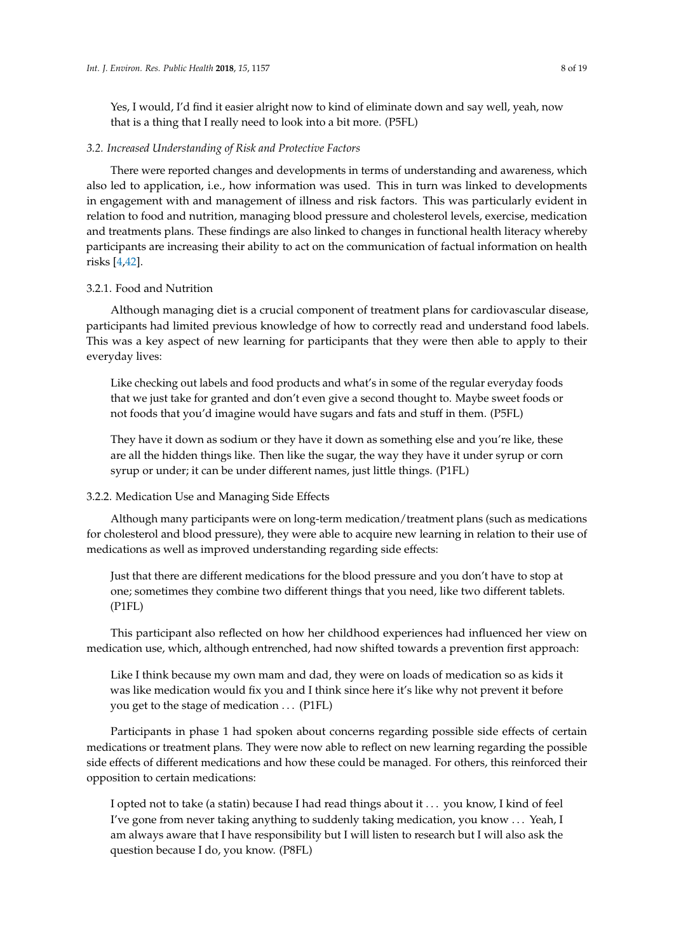Yes, I would, I'd find it easier alright now to kind of eliminate down and say well, yeah, now that is a thing that I really need to look into a bit more. (P5FL)

## *3.2. Increased Understanding of Risk and Protective Factors*

There were reported changes and developments in terms of understanding and awareness, which also led to application, i.e., how information was used. This in turn was linked to developments in engagement with and management of illness and risk factors. This was particularly evident in relation to food and nutrition, managing blood pressure and cholesterol levels, exercise, medication and treatments plans. These findings are also linked to changes in functional health literacy whereby participants are increasing their ability to act on the communication of factual information on health risks [\[4,](#page-17-10)[42\]](#page-19-2).

# 3.2.1. Food and Nutrition

Although managing diet is a crucial component of treatment plans for cardiovascular disease, participants had limited previous knowledge of how to correctly read and understand food labels. This was a key aspect of new learning for participants that they were then able to apply to their everyday lives:

Like checking out labels and food products and what's in some of the regular everyday foods that we just take for granted and don't even give a second thought to. Maybe sweet foods or not foods that you'd imagine would have sugars and fats and stuff in them. (P5FL)

They have it down as sodium or they have it down as something else and you're like, these are all the hidden things like. Then like the sugar, the way they have it under syrup or corn syrup or under; it can be under different names, just little things. (P1FL)

# 3.2.2. Medication Use and Managing Side Effects

Although many participants were on long-term medication/treatment plans (such as medications for cholesterol and blood pressure), they were able to acquire new learning in relation to their use of medications as well as improved understanding regarding side effects:

Just that there are different medications for the blood pressure and you don't have to stop at one; sometimes they combine two different things that you need, like two different tablets. (P1FL)

This participant also reflected on how her childhood experiences had influenced her view on medication use, which, although entrenched, had now shifted towards a prevention first approach:

Like I think because my own mam and dad, they were on loads of medication so as kids it was like medication would fix you and I think since here it's like why not prevent it before you get to the stage of medication . . . (P1FL)

Participants in phase 1 had spoken about concerns regarding possible side effects of certain medications or treatment plans. They were now able to reflect on new learning regarding the possible side effects of different medications and how these could be managed. For others, this reinforced their opposition to certain medications:

I opted not to take (a statin) because I had read things about it . . . you know, I kind of feel I've gone from never taking anything to suddenly taking medication, you know . . . Yeah, I am always aware that I have responsibility but I will listen to research but I will also ask the question because I do, you know. (P8FL)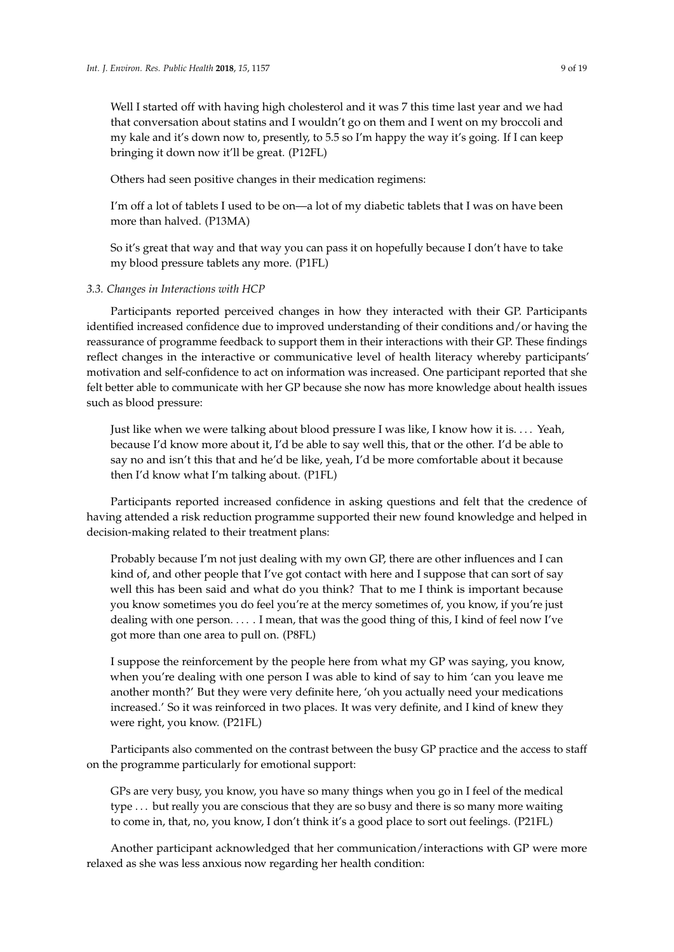Well I started off with having high cholesterol and it was 7 this time last year and we had that conversation about statins and I wouldn't go on them and I went on my broccoli and my kale and it's down now to, presently, to 5.5 so I'm happy the way it's going. If I can keep bringing it down now it'll be great. (P12FL)

Others had seen positive changes in their medication regimens:

I'm off a lot of tablets I used to be on—a lot of my diabetic tablets that I was on have been more than halved. (P13MA)

So it's great that way and that way you can pass it on hopefully because I don't have to take my blood pressure tablets any more. (P1FL)

# *3.3. Changes in Interactions with HCP*

Participants reported perceived changes in how they interacted with their GP. Participants identified increased confidence due to improved understanding of their conditions and/or having the reassurance of programme feedback to support them in their interactions with their GP. These findings reflect changes in the interactive or communicative level of health literacy whereby participants' motivation and self-confidence to act on information was increased. One participant reported that she felt better able to communicate with her GP because she now has more knowledge about health issues such as blood pressure:

Just like when we were talking about blood pressure I was like, I know how it is. . . . Yeah, because I'd know more about it, I'd be able to say well this, that or the other. I'd be able to say no and isn't this that and he'd be like, yeah, I'd be more comfortable about it because then I'd know what I'm talking about. (P1FL)

Participants reported increased confidence in asking questions and felt that the credence of having attended a risk reduction programme supported their new found knowledge and helped in decision-making related to their treatment plans:

Probably because I'm not just dealing with my own GP, there are other influences and I can kind of, and other people that I've got contact with here and I suppose that can sort of say well this has been said and what do you think? That to me I think is important because you know sometimes you do feel you're at the mercy sometimes of, you know, if you're just dealing with one person. . . . . I mean, that was the good thing of this, I kind of feel now I've got more than one area to pull on. (P8FL)

I suppose the reinforcement by the people here from what my GP was saying, you know, when you're dealing with one person I was able to kind of say to him 'can you leave me another month?' But they were very definite here, 'oh you actually need your medications increased.' So it was reinforced in two places. It was very definite, and I kind of knew they were right, you know. (P21FL)

Participants also commented on the contrast between the busy GP practice and the access to staff on the programme particularly for emotional support:

GPs are very busy, you know, you have so many things when you go in I feel of the medical type . . . but really you are conscious that they are so busy and there is so many more waiting to come in, that, no, you know, I don't think it's a good place to sort out feelings. (P21FL)

Another participant acknowledged that her communication/interactions with GP were more relaxed as she was less anxious now regarding her health condition: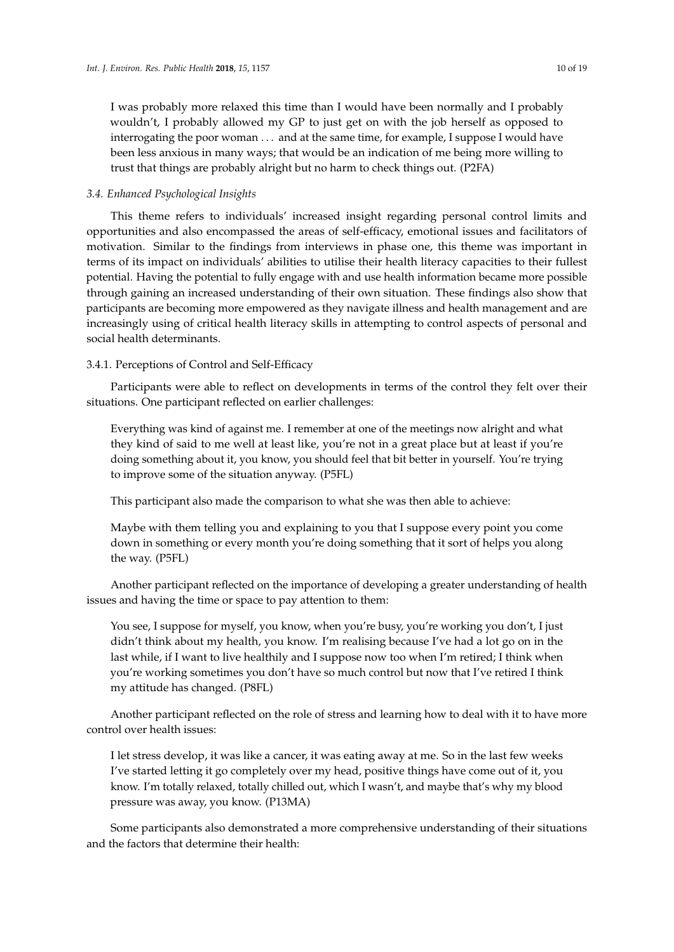I was probably more relaxed this time than I would have been normally and I probably wouldn't, I probably allowed my GP to just get on with the job herself as opposed to interrogating the poor woman . . . and at the same time, for example, I suppose I would have been less anxious in many ways; that would be an indication of me being more willing to trust that things are probably alright but no harm to check things out. (P2FA)

## *3.4. Enhanced Psychological Insights*

This theme refers to individuals' increased insight regarding personal control limits and opportunities and also encompassed the areas of self-efficacy, emotional issues and facilitators of motivation. Similar to the findings from interviews in phase one, this theme was important in terms of its impact on individuals' abilities to utilise their health literacy capacities to their fullest potential. Having the potential to fully engage with and use health information became more possible through gaining an increased understanding of their own situation. These findings also show that participants are becoming more empowered as they navigate illness and health management and are increasingly using of critical health literacy skills in attempting to control aspects of personal and social health determinants.

# 3.4.1. Perceptions of Control and Self-Efficacy

Participants were able to reflect on developments in terms of the control they felt over their situations. One participant reflected on earlier challenges:

Everything was kind of against me. I remember at one of the meetings now alright and what they kind of said to me well at least like, you're not in a great place but at least if you're doing something about it, you know, you should feel that bit better in yourself. You're trying to improve some of the situation anyway. (P5FL)

This participant also made the comparison to what she was then able to achieve:

Maybe with them telling you and explaining to you that I suppose every point you come down in something or every month you're doing something that it sort of helps you along the way. (P5FL)

Another participant reflected on the importance of developing a greater understanding of health issues and having the time or space to pay attention to them:

You see, I suppose for myself, you know, when you're busy, you're working you don't, I just didn't think about my health, you know. I'm realising because I've had a lot go on in the last while, if I want to live healthily and I suppose now too when I'm retired; I think when you're working sometimes you don't have so much control but now that I've retired I think my attitude has changed. (P8FL)

Another participant reflected on the role of stress and learning how to deal with it to have more control over health issues:

I let stress develop, it was like a cancer, it was eating away at me. So in the last few weeks I've started letting it go completely over my head, positive things have come out of it, you know. I'm totally relaxed, totally chilled out, which I wasn't, and maybe that's why my blood pressure was away, you know. (P13MA)

Some participants also demonstrated a more comprehensive understanding of their situations and the factors that determine their health: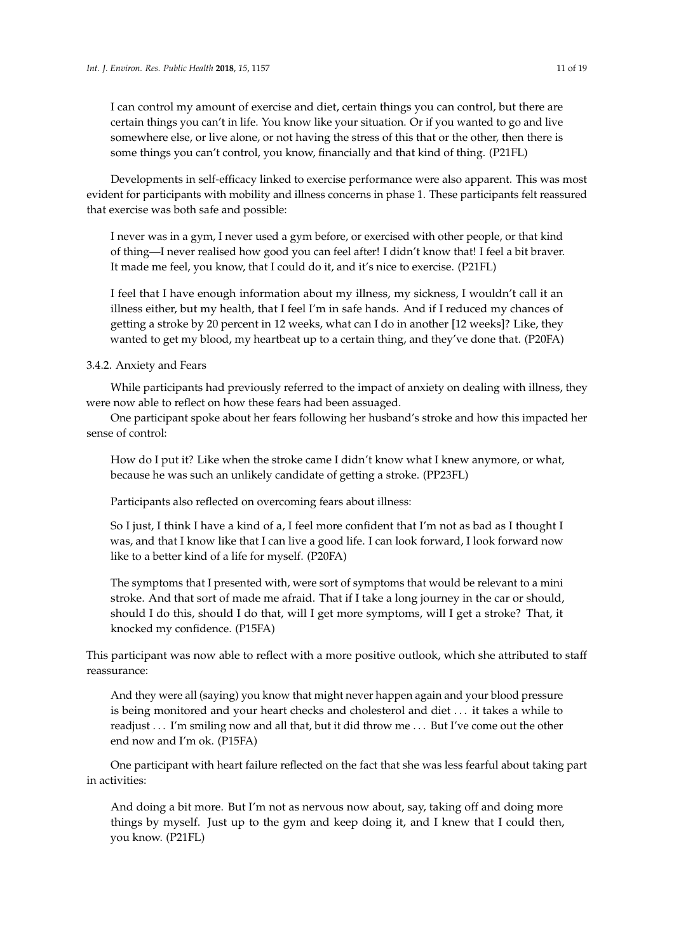I can control my amount of exercise and diet, certain things you can control, but there are certain things you can't in life. You know like your situation. Or if you wanted to go and live somewhere else, or live alone, or not having the stress of this that or the other, then there is some things you can't control, you know, financially and that kind of thing. (P21FL)

Developments in self-efficacy linked to exercise performance were also apparent. This was most evident for participants with mobility and illness concerns in phase 1. These participants felt reassured that exercise was both safe and possible:

I never was in a gym, I never used a gym before, or exercised with other people, or that kind of thing—I never realised how good you can feel after! I didn't know that! I feel a bit braver. It made me feel, you know, that I could do it, and it's nice to exercise. (P21FL)

I feel that I have enough information about my illness, my sickness, I wouldn't call it an illness either, but my health, that I feel I'm in safe hands. And if I reduced my chances of getting a stroke by 20 percent in 12 weeks, what can I do in another [12 weeks]? Like, they wanted to get my blood, my heartbeat up to a certain thing, and they've done that. (P20FA)

# 3.4.2. Anxiety and Fears

While participants had previously referred to the impact of anxiety on dealing with illness, they were now able to reflect on how these fears had been assuaged.

One participant spoke about her fears following her husband's stroke and how this impacted her sense of control:

How do I put it? Like when the stroke came I didn't know what I knew anymore, or what, because he was such an unlikely candidate of getting a stroke. (PP23FL)

Participants also reflected on overcoming fears about illness:

So I just, I think I have a kind of a, I feel more confident that I'm not as bad as I thought I was, and that I know like that I can live a good life. I can look forward, I look forward now like to a better kind of a life for myself. (P20FA)

The symptoms that I presented with, were sort of symptoms that would be relevant to a mini stroke. And that sort of made me afraid. That if I take a long journey in the car or should, should I do this, should I do that, will I get more symptoms, will I get a stroke? That, it knocked my confidence. (P15FA)

This participant was now able to reflect with a more positive outlook, which she attributed to staff reassurance:

And they were all (saying) you know that might never happen again and your blood pressure is being monitored and your heart checks and cholesterol and diet . . . it takes a while to readjust . . . I'm smiling now and all that, but it did throw me . . . But I've come out the other end now and I'm ok. (P15FA)

One participant with heart failure reflected on the fact that she was less fearful about taking part in activities:

And doing a bit more. But I'm not as nervous now about, say, taking off and doing more things by myself. Just up to the gym and keep doing it, and I knew that I could then, you know. (P21FL)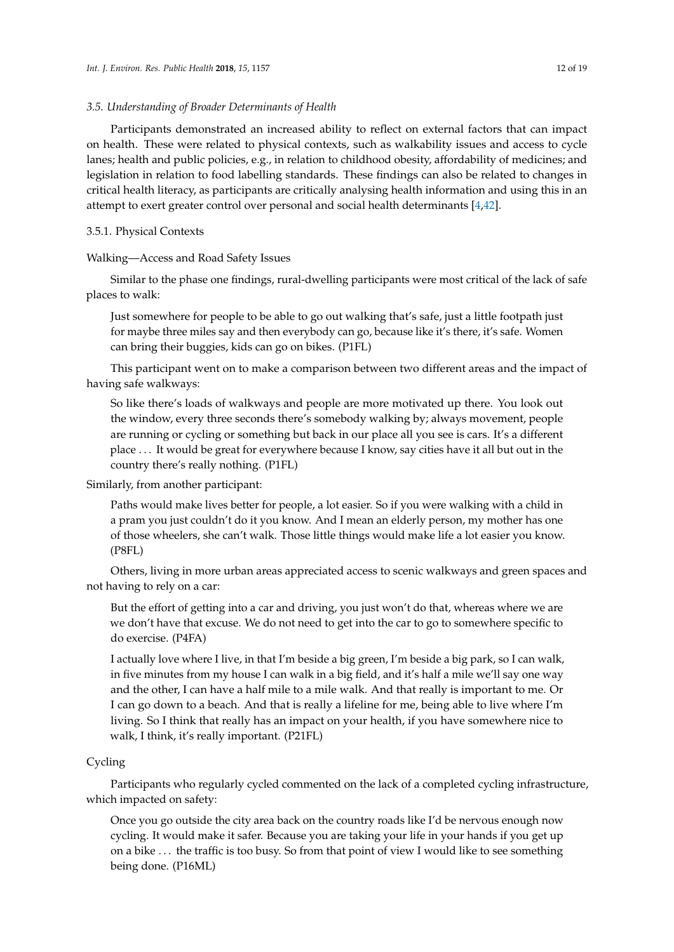#### *3.5. Understanding of Broader Determinants of Health*

Participants demonstrated an increased ability to reflect on external factors that can impact on health. These were related to physical contexts, such as walkability issues and access to cycle lanes; health and public policies, e.g., in relation to childhood obesity, affordability of medicines; and legislation in relation to food labelling standards. These findings can also be related to changes in critical health literacy, as participants are critically analysing health information and using this in an attempt to exert greater control over personal and social health determinants [\[4,](#page-17-10)[42\]](#page-19-2).

#### 3.5.1. Physical Contexts

#### Walking—Access and Road Safety Issues

Similar to the phase one findings, rural-dwelling participants were most critical of the lack of safe places to walk:

Just somewhere for people to be able to go out walking that's safe, just a little footpath just for maybe three miles say and then everybody can go, because like it's there, it's safe. Women can bring their buggies, kids can go on bikes. (P1FL)

This participant went on to make a comparison between two different areas and the impact of having safe walkways:

So like there's loads of walkways and people are more motivated up there. You look out the window, every three seconds there's somebody walking by; always movement, people are running or cycling or something but back in our place all you see is cars. It's a different place . . . It would be great for everywhere because I know, say cities have it all but out in the country there's really nothing. (P1FL)

#### Similarly, from another participant:

Paths would make lives better for people, a lot easier. So if you were walking with a child in a pram you just couldn't do it you know. And I mean an elderly person, my mother has one of those wheelers, she can't walk. Those little things would make life a lot easier you know. (P8FL)

Others, living in more urban areas appreciated access to scenic walkways and green spaces and not having to rely on a car:

But the effort of getting into a car and driving, you just won't do that, whereas where we are we don't have that excuse. We do not need to get into the car to go to somewhere specific to do exercise. (P4FA)

I actually love where I live, in that I'm beside a big green, I'm beside a big park, so I can walk, in five minutes from my house I can walk in a big field, and it's half a mile we'll say one way and the other, I can have a half mile to a mile walk. And that really is important to me. Or I can go down to a beach. And that is really a lifeline for me, being able to live where I'm living. So I think that really has an impact on your health, if you have somewhere nice to walk, I think, it's really important. (P21FL)

# Cycling

Participants who regularly cycled commented on the lack of a completed cycling infrastructure, which impacted on safety:

Once you go outside the city area back on the country roads like I'd be nervous enough now cycling. It would make it safer. Because you are taking your life in your hands if you get up on a bike . . . the traffic is too busy. So from that point of view I would like to see something being done. (P16ML)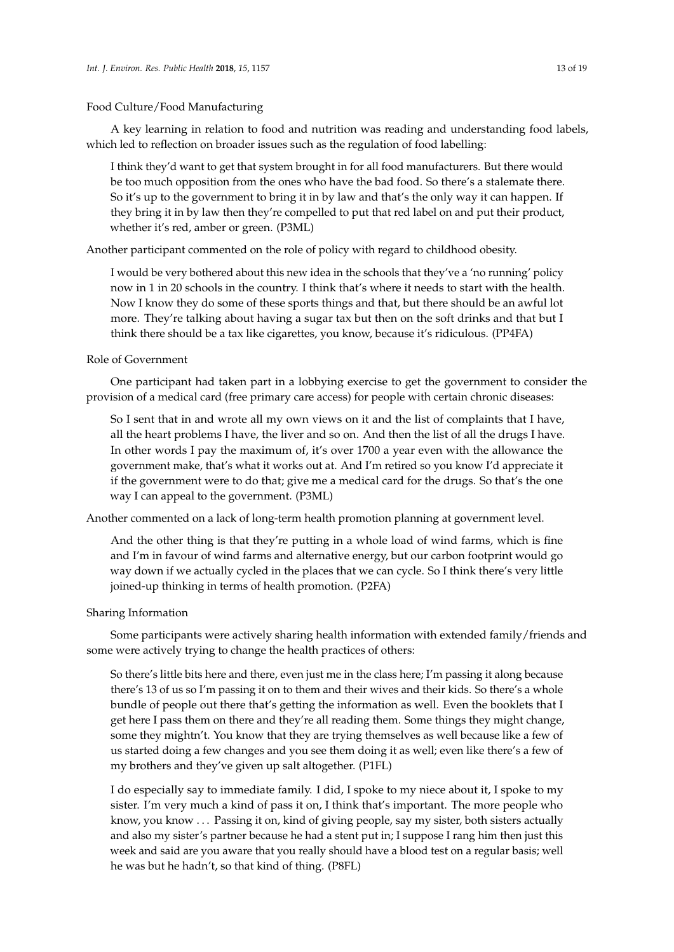# Food Culture/Food Manufacturing

A key learning in relation to food and nutrition was reading and understanding food labels, which led to reflection on broader issues such as the regulation of food labelling:

I think they'd want to get that system brought in for all food manufacturers. But there would be too much opposition from the ones who have the bad food. So there's a stalemate there. So it's up to the government to bring it in by law and that's the only way it can happen. If they bring it in by law then they're compelled to put that red label on and put their product, whether it's red, amber or green. (P3ML)

Another participant commented on the role of policy with regard to childhood obesity.

I would be very bothered about this new idea in the schools that they've a 'no running' policy now in 1 in 20 schools in the country. I think that's where it needs to start with the health. Now I know they do some of these sports things and that, but there should be an awful lot more. They're talking about having a sugar tax but then on the soft drinks and that but I think there should be a tax like cigarettes, you know, because it's ridiculous. (PP4FA)

# Role of Government

One participant had taken part in a lobbying exercise to get the government to consider the provision of a medical card (free primary care access) for people with certain chronic diseases:

So I sent that in and wrote all my own views on it and the list of complaints that I have, all the heart problems I have, the liver and so on. And then the list of all the drugs I have. In other words I pay the maximum of, it's over 1700 a year even with the allowance the government make, that's what it works out at. And I'm retired so you know I'd appreciate it if the government were to do that; give me a medical card for the drugs. So that's the one way I can appeal to the government. (P3ML)

Another commented on a lack of long-term health promotion planning at government level.

And the other thing is that they're putting in a whole load of wind farms, which is fine and I'm in favour of wind farms and alternative energy, but our carbon footprint would go way down if we actually cycled in the places that we can cycle. So I think there's very little joined-up thinking in terms of health promotion. (P2FA)

#### Sharing Information

Some participants were actively sharing health information with extended family/friends and some were actively trying to change the health practices of others:

So there's little bits here and there, even just me in the class here; I'm passing it along because there's 13 of us so I'm passing it on to them and their wives and their kids. So there's a whole bundle of people out there that's getting the information as well. Even the booklets that I get here I pass them on there and they're all reading them. Some things they might change, some they mightn't. You know that they are trying themselves as well because like a few of us started doing a few changes and you see them doing it as well; even like there's a few of my brothers and they've given up salt altogether. (P1FL)

I do especially say to immediate family. I did, I spoke to my niece about it, I spoke to my sister. I'm very much a kind of pass it on, I think that's important. The more people who know, you know . . . Passing it on, kind of giving people, say my sister, both sisters actually and also my sister's partner because he had a stent put in; I suppose I rang him then just this week and said are you aware that you really should have a blood test on a regular basis; well he was but he hadn't, so that kind of thing. (P8FL)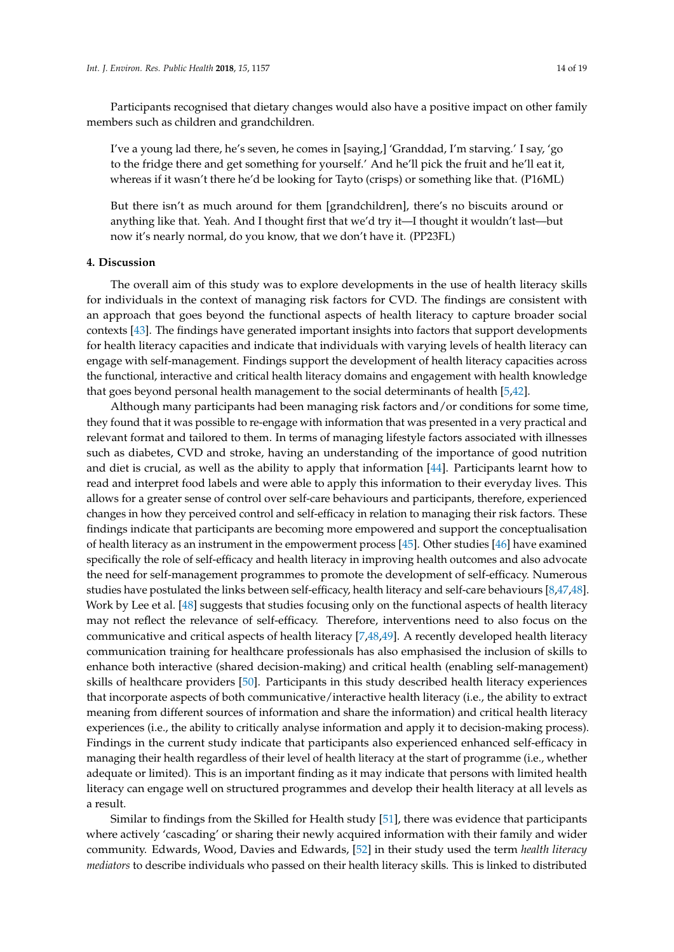Participants recognised that dietary changes would also have a positive impact on other family members such as children and grandchildren.

I've a young lad there, he's seven, he comes in [saying,] 'Granddad, I'm starving.' I say, 'go to the fridge there and get something for yourself.' And he'll pick the fruit and he'll eat it, whereas if it wasn't there he'd be looking for Tayto (crisps) or something like that. (P16ML)

But there isn't as much around for them [grandchildren], there's no biscuits around or anything like that. Yeah. And I thought first that we'd try it—I thought it wouldn't last—but now it's nearly normal, do you know, that we don't have it. (PP23FL)

#### **4. Discussion**

The overall aim of this study was to explore developments in the use of health literacy skills for individuals in the context of managing risk factors for CVD. The findings are consistent with an approach that goes beyond the functional aspects of health literacy to capture broader social contexts [\[43\]](#page-19-3). The findings have generated important insights into factors that support developments for health literacy capacities and indicate that individuals with varying levels of health literacy can engage with self-management. Findings support the development of health literacy capacities across the functional, interactive and critical health literacy domains and engagement with health knowledge that goes beyond personal health management to the social determinants of health [\[5](#page-17-3)[,42\]](#page-19-2).

Although many participants had been managing risk factors and/or conditions for some time, they found that it was possible to re-engage with information that was presented in a very practical and relevant format and tailored to them. In terms of managing lifestyle factors associated with illnesses such as diabetes, CVD and stroke, having an understanding of the importance of good nutrition and diet is crucial, as well as the ability to apply that information [\[44\]](#page-19-4). Participants learnt how to read and interpret food labels and were able to apply this information to their everyday lives. This allows for a greater sense of control over self-care behaviours and participants, therefore, experienced changes in how they perceived control and self-efficacy in relation to managing their risk factors. These findings indicate that participants are becoming more empowered and support the conceptualisation of health literacy as an instrument in the empowerment process [\[45\]](#page-19-5). Other studies [\[46\]](#page-19-6) have examined specifically the role of self-efficacy and health literacy in improving health outcomes and also advocate the need for self-management programmes to promote the development of self-efficacy. Numerous studies have postulated the links between self-efficacy, health literacy and self-care behaviours [\[8](#page-17-11)[,47](#page-19-7)[,48\]](#page-19-8). Work by Lee et al. [\[48\]](#page-19-8) suggests that studies focusing only on the functional aspects of health literacy may not reflect the relevance of self-efficacy. Therefore, interventions need to also focus on the communicative and critical aspects of health literacy [\[7](#page-17-12)[,48](#page-19-8)[,49\]](#page-19-9). A recently developed health literacy communication training for healthcare professionals has also emphasised the inclusion of skills to enhance both interactive (shared decision-making) and critical health (enabling self-management) skills of healthcare providers [\[50\]](#page-19-10). Participants in this study described health literacy experiences that incorporate aspects of both communicative/interactive health literacy (i.e., the ability to extract meaning from different sources of information and share the information) and critical health literacy experiences (i.e., the ability to critically analyse information and apply it to decision-making process). Findings in the current study indicate that participants also experienced enhanced self-efficacy in managing their health regardless of their level of health literacy at the start of programme (i.e., whether adequate or limited). This is an important finding as it may indicate that persons with limited health literacy can engage well on structured programmes and develop their health literacy at all levels as a result.

Similar to findings from the Skilled for Health study [\[51\]](#page-19-11), there was evidence that participants where actively 'cascading' or sharing their newly acquired information with their family and wider community. Edwards, Wood, Davies and Edwards, [\[52\]](#page-19-12) in their study used the term *health literacy mediators* to describe individuals who passed on their health literacy skills. This is linked to distributed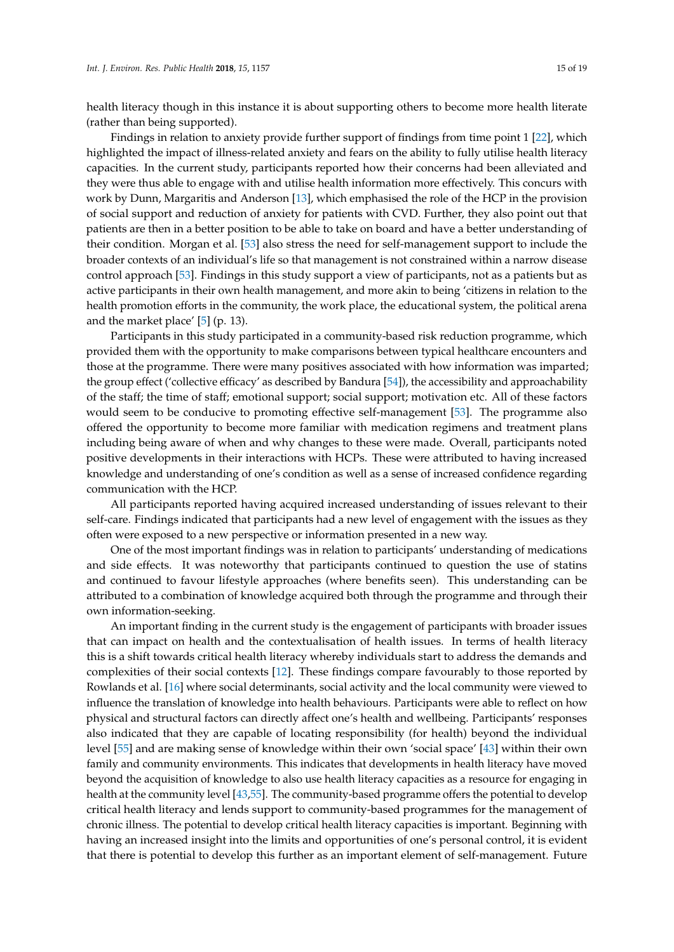health literacy though in this instance it is about supporting others to become more health literate (rather than being supported).

Findings in relation to anxiety provide further support of findings from time point 1 [\[22\]](#page-18-6), which highlighted the impact of illness-related anxiety and fears on the ability to fully utilise health literacy capacities. In the current study, participants reported how their concerns had been alleviated and they were thus able to engage with and utilise health information more effectively. This concurs with work by Dunn, Margaritis and Anderson [\[13\]](#page-17-6), which emphasised the role of the HCP in the provision of social support and reduction of anxiety for patients with CVD. Further, they also point out that patients are then in a better position to be able to take on board and have a better understanding of their condition. Morgan et al. [\[53\]](#page-19-13) also stress the need for self-management support to include the broader contexts of an individual's life so that management is not constrained within a narrow disease control approach [\[53\]](#page-19-13). Findings in this study support a view of participants, not as a patients but as active participants in their own health management, and more akin to being 'citizens in relation to the health promotion efforts in the community, the work place, the educational system, the political arena and the market place' [\[5\]](#page-17-3) (p. 13).

Participants in this study participated in a community-based risk reduction programme, which provided them with the opportunity to make comparisons between typical healthcare encounters and those at the programme. There were many positives associated with how information was imparted; the group effect ('collective efficacy' as described by Bandura [\[54\]](#page-19-14)), the accessibility and approachability of the staff; the time of staff; emotional support; social support; motivation etc. All of these factors would seem to be conducive to promoting effective self-management [\[53\]](#page-19-13). The programme also offered the opportunity to become more familiar with medication regimens and treatment plans including being aware of when and why changes to these were made. Overall, participants noted positive developments in their interactions with HCPs. These were attributed to having increased knowledge and understanding of one's condition as well as a sense of increased confidence regarding communication with the HCP.

All participants reported having acquired increased understanding of issues relevant to their self-care. Findings indicated that participants had a new level of engagement with the issues as they often were exposed to a new perspective or information presented in a new way.

One of the most important findings was in relation to participants' understanding of medications and side effects. It was noteworthy that participants continued to question the use of statins and continued to favour lifestyle approaches (where benefits seen). This understanding can be attributed to a combination of knowledge acquired both through the programme and through their own information-seeking.

An important finding in the current study is the engagement of participants with broader issues that can impact on health and the contextualisation of health issues. In terms of health literacy this is a shift towards critical health literacy whereby individuals start to address the demands and complexities of their social contexts [\[12\]](#page-17-5). These findings compare favourably to those reported by Rowlands et al. [\[16\]](#page-18-0) where social determinants, social activity and the local community were viewed to influence the translation of knowledge into health behaviours. Participants were able to reflect on how physical and structural factors can directly affect one's health and wellbeing. Participants' responses also indicated that they are capable of locating responsibility (for health) beyond the individual level [\[55\]](#page-19-15) and are making sense of knowledge within their own 'social space' [\[43\]](#page-19-3) within their own family and community environments. This indicates that developments in health literacy have moved beyond the acquisition of knowledge to also use health literacy capacities as a resource for engaging in health at the community level [\[43,](#page-19-3)[55\]](#page-19-15). The community-based programme offers the potential to develop critical health literacy and lends support to community-based programmes for the management of chronic illness. The potential to develop critical health literacy capacities is important. Beginning with having an increased insight into the limits and opportunities of one's personal control, it is evident that there is potential to develop this further as an important element of self-management. Future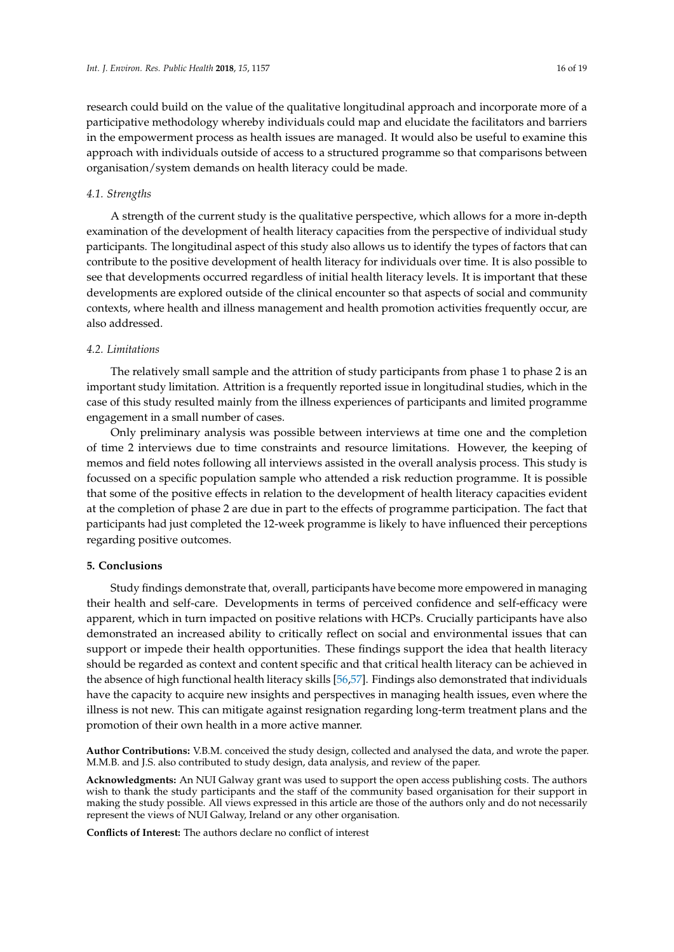research could build on the value of the qualitative longitudinal approach and incorporate more of a participative methodology whereby individuals could map and elucidate the facilitators and barriers in the empowerment process as health issues are managed. It would also be useful to examine this approach with individuals outside of access to a structured programme so that comparisons between organisation/system demands on health literacy could be made.

# *4.1. Strengths*

A strength of the current study is the qualitative perspective, which allows for a more in-depth examination of the development of health literacy capacities from the perspective of individual study participants. The longitudinal aspect of this study also allows us to identify the types of factors that can contribute to the positive development of health literacy for individuals over time. It is also possible to see that developments occurred regardless of initial health literacy levels. It is important that these developments are explored outside of the clinical encounter so that aspects of social and community contexts, where health and illness management and health promotion activities frequently occur, are also addressed.

#### *4.2. Limitations*

The relatively small sample and the attrition of study participants from phase 1 to phase 2 is an important study limitation. Attrition is a frequently reported issue in longitudinal studies, which in the case of this study resulted mainly from the illness experiences of participants and limited programme engagement in a small number of cases.

Only preliminary analysis was possible between interviews at time one and the completion of time 2 interviews due to time constraints and resource limitations. However, the keeping of memos and field notes following all interviews assisted in the overall analysis process. This study is focussed on a specific population sample who attended a risk reduction programme. It is possible that some of the positive effects in relation to the development of health literacy capacities evident at the completion of phase 2 are due in part to the effects of programme participation. The fact that participants had just completed the 12-week programme is likely to have influenced their perceptions regarding positive outcomes.

# **5. Conclusions**

Study findings demonstrate that, overall, participants have become more empowered in managing their health and self-care. Developments in terms of perceived confidence and self-efficacy were apparent, which in turn impacted on positive relations with HCPs. Crucially participants have also demonstrated an increased ability to critically reflect on social and environmental issues that can support or impede their health opportunities. These findings support the idea that health literacy should be regarded as context and content specific and that critical health literacy can be achieved in the absence of high functional health literacy skills [\[56](#page-19-16)[,57\]](#page-19-17). Findings also demonstrated that individuals have the capacity to acquire new insights and perspectives in managing health issues, even where the illness is not new. This can mitigate against resignation regarding long-term treatment plans and the promotion of their own health in a more active manner.

**Author Contributions:** V.B.M. conceived the study design, collected and analysed the data, and wrote the paper. M.M.B. and J.S. also contributed to study design, data analysis, and review of the paper.

**Acknowledgments:** An NUI Galway grant was used to support the open access publishing costs. The authors wish to thank the study participants and the staff of the community based organisation for their support in making the study possible. All views expressed in this article are those of the authors only and do not necessarily represent the views of NUI Galway, Ireland or any other organisation.

**Conflicts of Interest:** The authors declare no conflict of interest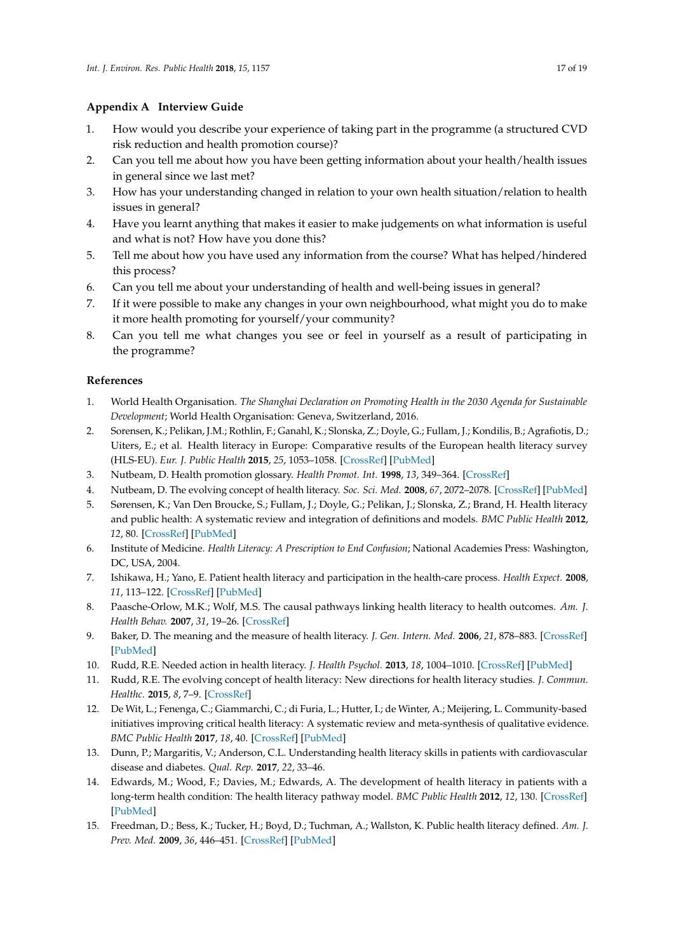# <span id="page-17-9"></span>**Appendix A Interview Guide**

- 1. How would you describe your experience of taking part in the programme (a structured CVD risk reduction and health promotion course)?
- 2. Can you tell me about how you have been getting information about your health/health issues in general since we last met?
- 3. How has your understanding changed in relation to your own health situation/relation to health issues in general?
- 4. Have you learnt anything that makes it easier to make judgements on what information is useful and what is not? How have you done this?
- 5. Tell me about how you have used any information from the course? What has helped/hindered this process?
- 6. Can you tell me about your understanding of health and well-being issues in general?
- 7. If it were possible to make any changes in your own neighbourhood, what might you do to make it more health promoting for yourself/your community?
- 8. Can you tell me what changes you see or feel in yourself as a result of participating in the programme?

# **References**

- <span id="page-17-0"></span>1. World Health Organisation. *The Shanghai Declaration on Promoting Health in the 2030 Agenda for Sustainable Development*; World Health Organisation: Geneva, Switzerland, 2016.
- <span id="page-17-1"></span>2. Sorensen, K.; Pelikan, J.M.; Rothlin, F.; Ganahl, K.; Slonska, Z.; Doyle, G.; Fullam, J.; Kondilis, B.; Agrafiotis, D.; Uiters, E.; et al. Health literacy in Europe: Comparative results of the European health literacy survey (HLS-EU). *Eur. J. Public Health* **2015**, *25*, 1053–1058. [\[CrossRef\]](http://dx.doi.org/10.1093/eurpub/ckv043) [\[PubMed\]](http://www.ncbi.nlm.nih.gov/pubmed/25843827)
- <span id="page-17-2"></span>3. Nutbeam, D. Health promotion glossary. *Health Promot. Int.* **1998**, *13*, 349–364. [\[CrossRef\]](http://dx.doi.org/10.1093/heapro/13.4.349)
- <span id="page-17-10"></span>4. Nutbeam, D. The evolving concept of health literacy. *Soc. Sci. Med.* **2008**, *67*, 2072–2078. [\[CrossRef\]](http://dx.doi.org/10.1016/j.socscimed.2008.09.050) [\[PubMed\]](http://www.ncbi.nlm.nih.gov/pubmed/18952344)
- <span id="page-17-3"></span>5. Sørensen, K.; Van Den Broucke, S.; Fullam, J.; Doyle, G.; Pelikan, J.; Slonska, Z.; Brand, H. Health literacy and public health: A systematic review and integration of definitions and models. *BMC Public Health* **2012**, *12*, 80. [\[CrossRef\]](http://dx.doi.org/10.1186/1471-2458-12-80) [\[PubMed\]](http://www.ncbi.nlm.nih.gov/pubmed/22276600)
- <span id="page-17-4"></span>6. Institute of Medicine. *Health Literacy: A Prescription to End Confusion*; National Academies Press: Washington, DC, USA, 2004.
- <span id="page-17-12"></span>7. Ishikawa, H.; Yano, E. Patient health literacy and participation in the health-care process. *Health Expect.* **2008**, *11*, 113–122. [\[CrossRef\]](http://dx.doi.org/10.1111/j.1369-7625.2008.00497.x) [\[PubMed\]](http://www.ncbi.nlm.nih.gov/pubmed/18494956)
- <span id="page-17-11"></span>8. Paasche-Orlow, M.K.; Wolf, M.S. The causal pathways linking health literacy to health outcomes. *Am. J. Health Behav.* **2007**, *31*, 19–26. [\[CrossRef\]](http://dx.doi.org/10.5993/AJHB.31.s1.4)
- 9. Baker, D. The meaning and the measure of health literacy. *J. Gen. Intern. Med.* **2006**, *21*, 878–883. [\[CrossRef\]](http://dx.doi.org/10.1111/j.1525-1497.2006.00540.x) [\[PubMed\]](http://www.ncbi.nlm.nih.gov/pubmed/16881951)
- 10. Rudd, R.E. Needed action in health literacy. *J. Health Psychol.* **2013**, *18*, 1004–1010. [\[CrossRef\]](http://dx.doi.org/10.1177/1359105312470128) [\[PubMed\]](http://www.ncbi.nlm.nih.gov/pubmed/23349399)
- 11. Rudd, R.E. The evolving concept of health literacy: New directions for health literacy studies. *J. Commun. Healthc.* **2015**, *8*, 7–9. [\[CrossRef\]](http://dx.doi.org/10.1179/1753806815Z.000000000105)
- <span id="page-17-5"></span>12. De Wit, L.; Fenenga, C.; Giammarchi, C.; di Furia, L.; Hutter, I.; de Winter, A.; Meijering, L. Community-based initiatives improving critical health literacy: A systematic review and meta-synthesis of qualitative evidence. *BMC Public Health* **2017**, *18*, 40. [\[CrossRef\]](http://dx.doi.org/10.1186/s12889-017-4570-7) [\[PubMed\]](http://www.ncbi.nlm.nih.gov/pubmed/28728547)
- <span id="page-17-6"></span>13. Dunn, P.; Margaritis, V.; Anderson, C.L. Understanding health literacy skills in patients with cardiovascular disease and diabetes. *Qual. Rep.* **2017**, *22*, 33–46.
- <span id="page-17-7"></span>14. Edwards, M.; Wood, F.; Davies, M.; Edwards, A. The development of health literacy in patients with a long-term health condition: The health literacy pathway model. *BMC Public Health* **2012**, *12*, 130. [\[CrossRef\]](http://dx.doi.org/10.1186/1471-2458-12-130) [\[PubMed\]](http://www.ncbi.nlm.nih.gov/pubmed/22332990)
- <span id="page-17-8"></span>15. Freedman, D.; Bess, K.; Tucker, H.; Boyd, D.; Tuchman, A.; Wallston, K. Public health literacy defined. *Am. J. Prev. Med.* **2009**, *36*, 446–451. [\[CrossRef\]](http://dx.doi.org/10.1016/j.amepre.2009.02.001) [\[PubMed\]](http://www.ncbi.nlm.nih.gov/pubmed/19362698)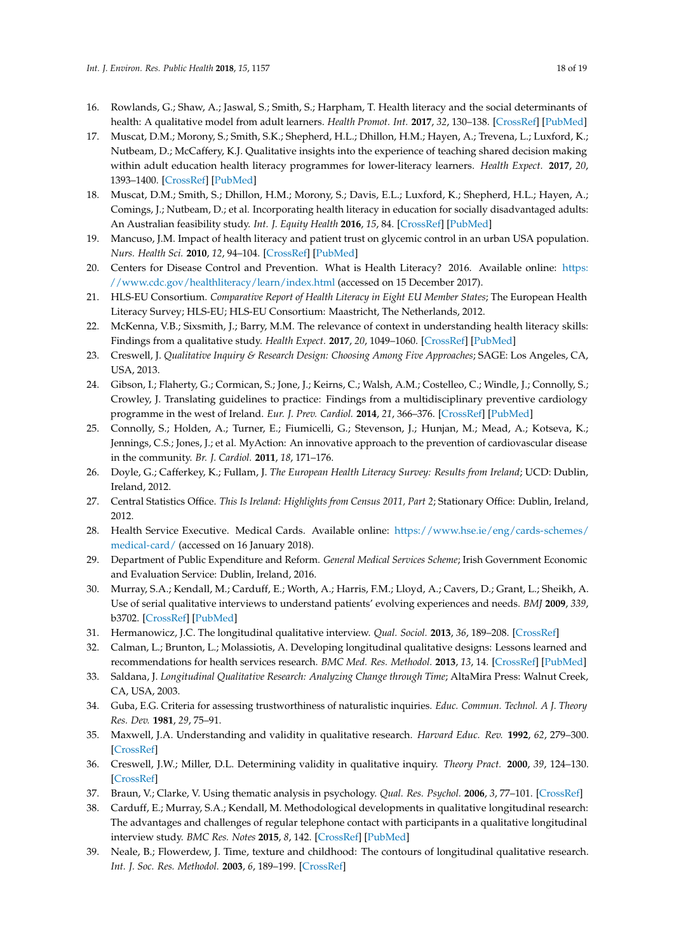- <span id="page-18-0"></span>16. Rowlands, G.; Shaw, A.; Jaswal, S.; Smith, S.; Harpham, T. Health literacy and the social determinants of health: A qualitative model from adult learners. *Health Promot. Int.* **2017**, *32*, 130–138. [\[CrossRef\]](http://dx.doi.org/10.1093/heapro/dav093) [\[PubMed\]](http://www.ncbi.nlm.nih.gov/pubmed/28180257)
- <span id="page-18-1"></span>17. Muscat, D.M.; Morony, S.; Smith, S.K.; Shepherd, H.L.; Dhillon, H.M.; Hayen, A.; Trevena, L.; Luxford, K.; Nutbeam, D.; McCaffery, K.J. Qualitative insights into the experience of teaching shared decision making within adult education health literacy programmes for lower-literacy learners. *Health Expect.* **2017**, *20*, 1393–1400. [\[CrossRef\]](http://dx.doi.org/10.1111/hex.12580) [\[PubMed\]](http://www.ncbi.nlm.nih.gov/pubmed/28678433)
- <span id="page-18-2"></span>18. Muscat, D.M.; Smith, S.; Dhillon, H.M.; Morony, S.; Davis, E.L.; Luxford, K.; Shepherd, H.L.; Hayen, A.; Comings, J.; Nutbeam, D.; et al. Incorporating health literacy in education for socially disadvantaged adults: An Australian feasibility study. *Int. J. Equity Health* **2016**, *15*, 84. [\[CrossRef\]](http://dx.doi.org/10.1186/s12939-016-0373-1) [\[PubMed\]](http://www.ncbi.nlm.nih.gov/pubmed/27259476)
- <span id="page-18-3"></span>19. Mancuso, J.M. Impact of health literacy and patient trust on glycemic control in an urban USA population. *Nurs. Health Sci.* **2010**, *12*, 94–104. [\[CrossRef\]](http://dx.doi.org/10.1111/j.1442-2018.2009.00506.x) [\[PubMed\]](http://www.ncbi.nlm.nih.gov/pubmed/20487332)
- <span id="page-18-4"></span>20. Centers for Disease Control and Prevention. What is Health Literacy? 2016. Available online: [https:](https://www.cdc.gov/healthliteracy/learn/index.html) [//www.cdc.gov/healthliteracy/learn/index.html](https://www.cdc.gov/healthliteracy/learn/index.html) (accessed on 15 December 2017).
- <span id="page-18-5"></span>21. HLS-EU Consortium. *Comparative Report of Health Literacy in Eight EU Member States*; The European Health Literacy Survey; HLS-EU; HLS-EU Consortium: Maastricht, The Netherlands, 2012.
- <span id="page-18-6"></span>22. McKenna, V.B.; Sixsmith, J.; Barry, M.M. The relevance of context in understanding health literacy skills: Findings from a qualitative study. *Health Expect.* **2017**, *20*, 1049–1060. [\[CrossRef\]](http://dx.doi.org/10.1111/hex.12547) [\[PubMed\]](http://www.ncbi.nlm.nih.gov/pubmed/28402013)
- <span id="page-18-7"></span>23. Creswell, J. *Qualitative Inquiry & Research Design: Choosing Among Five Approaches*; SAGE: Los Angeles, CA, USA, 2013.
- <span id="page-18-8"></span>24. Gibson, I.; Flaherty, G.; Cormican, S.; Jone, J.; Keirns, C.; Walsh, A.M.; Costelleo, C.; Windle, J.; Connolly, S.; Crowley, J. Translating guidelines to practice: Findings from a multidisciplinary preventive cardiology programme in the west of Ireland. *Eur. J. Prev. Cardiol.* **2014**, *21*, 366–376. [\[CrossRef\]](http://dx.doi.org/10.1177/2047487313498831) [\[PubMed\]](http://www.ncbi.nlm.nih.gov/pubmed/23884981)
- <span id="page-18-9"></span>25. Connolly, S.; Holden, A.; Turner, E.; Fiumicelli, G.; Stevenson, J.; Hunjan, M.; Mead, A.; Kotseva, K.; Jennings, C.S.; Jones, J.; et al. MyAction: An innovative approach to the prevention of cardiovascular disease in the community. *Br. J. Cardiol.* **2011**, *18*, 171–176.
- <span id="page-18-10"></span>26. Doyle, G.; Cafferkey, K.; Fullam, J. *The European Health Literacy Survey: Results from Ireland*; UCD: Dublin, Ireland, 2012.
- <span id="page-18-11"></span>27. Central Statistics Office. *This Is Ireland: Highlights from Census 2011, Part 2*; Stationary Office: Dublin, Ireland, 2012.
- <span id="page-18-12"></span>28. Health Service Executive. Medical Cards. Available online: [https://www.hse.ie/eng/cards-schemes/](https://www.hse.ie/eng/cards-schemes/medical-card/) [medical-card/](https://www.hse.ie/eng/cards-schemes/medical-card/) (accessed on 16 January 2018).
- <span id="page-18-13"></span>29. Department of Public Expenditure and Reform. *General Medical Services Scheme*; Irish Government Economic and Evaluation Service: Dublin, Ireland, 2016.
- <span id="page-18-14"></span>30. Murray, S.A.; Kendall, M.; Carduff, E.; Worth, A.; Harris, F.M.; Lloyd, A.; Cavers, D.; Grant, L.; Sheikh, A. Use of serial qualitative interviews to understand patients' evolving experiences and needs. *BMJ* **2009**, *339*, b3702. [\[CrossRef\]](http://dx.doi.org/10.1136/bmj.b3702) [\[PubMed\]](http://www.ncbi.nlm.nih.gov/pubmed/19786485)
- 31. Hermanowicz, J.C. The longitudinal qualitative interview. *Qual. Sociol.* **2013**, *36*, 189–208. [\[CrossRef\]](http://dx.doi.org/10.1007/s11133-013-9247-7)
- <span id="page-18-15"></span>32. Calman, L.; Brunton, L.; Molassiotis, A. Developing longitudinal qualitative designs: Lessons learned and recommendations for health services research. *BMC Med. Res. Methodol.* **2013**, *13*, 14. [\[CrossRef\]](http://dx.doi.org/10.1186/1471-2288-13-14) [\[PubMed\]](http://www.ncbi.nlm.nih.gov/pubmed/23388075)
- <span id="page-18-16"></span>33. Saldana, J. *Longitudinal Qualitative Research: Analyzing Change through Time*; AltaMira Press: Walnut Creek, CA, USA, 2003.
- <span id="page-18-17"></span>34. Guba, E.G. Criteria for assessing trustworthiness of naturalistic inquiries. *Educ. Commun. Technol. A J. Theory Res. Dev.* **1981**, *29*, 75–91.
- 35. Maxwell, J.A. Understanding and validity in qualitative research. *Harvard Educ. Rev.* **1992**, *62*, 279–300. [\[CrossRef\]](http://dx.doi.org/10.17763/haer.62.3.8323320856251826)
- <span id="page-18-18"></span>36. Creswell, J.W.; Miller, D.L. Determining validity in qualitative inquiry. *Theory Pract.* **2000**, *39*, 124–130. [\[CrossRef\]](http://dx.doi.org/10.1207/s15430421tip3903_2)
- <span id="page-18-19"></span>37. Braun, V.; Clarke, V. Using thematic analysis in psychology. *Qual. Res. Psychol.* **2006**, *3*, 77–101. [\[CrossRef\]](http://dx.doi.org/10.1191/1478088706qp063oa)
- <span id="page-18-20"></span>38. Carduff, E.; Murray, S.A.; Kendall, M. Methodological developments in qualitative longitudinal research: The advantages and challenges of regular telephone contact with participants in a qualitative longitudinal interview study. *BMC Res. Notes* **2015**, *8*, 142. [\[CrossRef\]](http://dx.doi.org/10.1186/s13104-015-1107-y) [\[PubMed\]](http://www.ncbi.nlm.nih.gov/pubmed/25886625)
- <span id="page-18-21"></span>39. Neale, B.; Flowerdew, J. Time, texture and childhood: The contours of longitudinal qualitative research. *Int. J. Soc. Res. Methodol.* **2003**, *6*, 189–199. [\[CrossRef\]](http://dx.doi.org/10.1080/1364557032000091798)